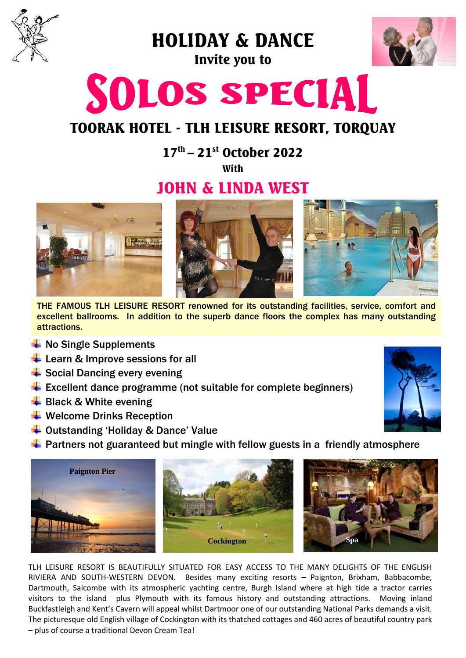

HOLIDAY & DANCE

Invite you to



# SOLOS SPECIAL

## TOORAK HOTEL - TLH LEISURE RESORT, TORQUAY

17<sup>th</sup> – 21<sup>st</sup> October 2022

With

## JOHN & LINDA WEST



THE FAMOUS TLH LEISURE RESORT renowned for its outstanding facilities, service, comfort and excellent ballrooms. In addition to the superb dance floors the complex has many outstanding attractions.

- $\frac{1}{2}$  No Single Supplements
- $\overline{\phantom{a}}$  Learn & Improve sessions for all
- $\triangleq$  Social Dancing every evening
- $\triangleq$  Excellent dance programme (not suitable for complete beginners)
- $\bigstar$  Black & White evening
- $\bigstar$  Welcome Drinks Reception
- $\overline{\phantom{a}}$  Outstanding 'Holiday & Dance' Value
- $\ddot{\phantom{1}}$  Partners not guaranteed but mingle with fellow guests in a friendly atmosphere



TLH LEISURE RESORT IS BEAUTIFULLY SITUATED FOR EASY ACCESS TO THE MANY DELIGHTS OF THE ENGLISH RIVIERA AND SOUTH-WESTERN DEVON. Besides many exciting resorts – Paignton, Brixham, Babbacombe, Dartmouth, Salcombe with its atmospheric yachting centre, Burgh Island where at high tide a tractor carries visitors to the island plus Plymouth with its famous history and outstanding attractions. Moving inland Buckfastleigh and Kent's Cavern will appeal whilst Dartmoor one of our outstanding National Parks demands a visit. The picturesque old English village of Cockington with its thatched cottages and 460 acres of beautiful country park – plus of course a traditional Devon Cream Tea!